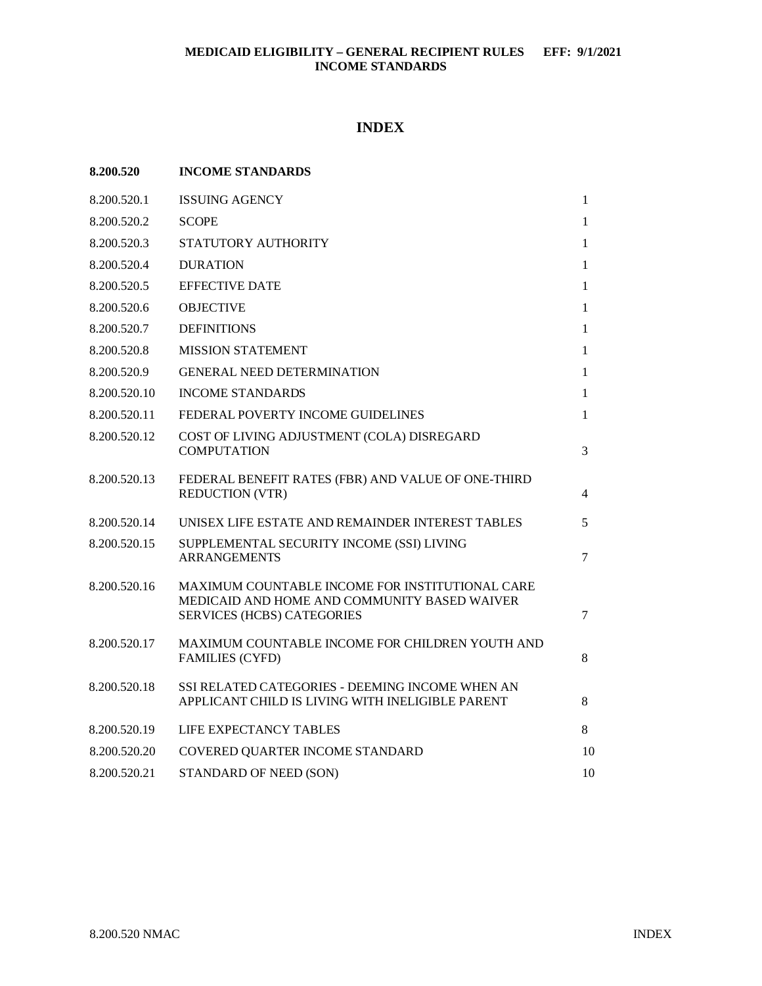## **INDEX**

| 8.200.520    | <b>INCOME STANDARDS</b>                                                                                                              |                |
|--------------|--------------------------------------------------------------------------------------------------------------------------------------|----------------|
| 8.200.520.1  | <b>ISSUING AGENCY</b>                                                                                                                | $\mathbf{1}$   |
| 8.200.520.2  | <b>SCOPE</b>                                                                                                                         | $\mathbf{1}$   |
| 8.200.520.3  | STATUTORY AUTHORITY                                                                                                                  | $\mathbf{1}$   |
| 8.200.520.4  | <b>DURATION</b>                                                                                                                      | $\mathbf{1}$   |
| 8.200.520.5  | <b>EFFECTIVE DATE</b>                                                                                                                | 1              |
| 8.200.520.6  | <b>OBJECTIVE</b>                                                                                                                     | 1              |
| 8.200.520.7  | <b>DEFINITIONS</b>                                                                                                                   | $\mathbf{1}$   |
| 8.200.520.8  | <b>MISSION STATEMENT</b>                                                                                                             | 1              |
| 8.200.520.9  | <b>GENERAL NEED DETERMINATION</b>                                                                                                    | 1              |
| 8.200.520.10 | <b>INCOME STANDARDS</b>                                                                                                              | $\mathbf{1}$   |
| 8.200.520.11 | FEDERAL POVERTY INCOME GUIDELINES                                                                                                    | 1              |
| 8.200.520.12 | COST OF LIVING ADJUSTMENT (COLA) DISREGARD<br><b>COMPUTATION</b>                                                                     | 3              |
| 8.200.520.13 | FEDERAL BENEFIT RATES (FBR) AND VALUE OF ONE-THIRD<br><b>REDUCTION (VTR)</b>                                                         | $\overline{4}$ |
| 8.200.520.14 | UNISEX LIFE ESTATE AND REMAINDER INTEREST TABLES                                                                                     | 5              |
| 8.200.520.15 | SUPPLEMENTAL SECURITY INCOME (SSI) LIVING<br><b>ARRANGEMENTS</b>                                                                     | $\tau$         |
| 8.200.520.16 | MAXIMUM COUNTABLE INCOME FOR INSTITUTIONAL CARE<br>MEDICAID AND HOME AND COMMUNITY BASED WAIVER<br><b>SERVICES (HCBS) CATEGORIES</b> | $\tau$         |
| 8.200.520.17 | MAXIMUM COUNTABLE INCOME FOR CHILDREN YOUTH AND<br><b>FAMILIES (CYFD)</b>                                                            | 8              |
| 8.200.520.18 | SSI RELATED CATEGORIES - DEEMING INCOME WHEN AN<br>APPLICANT CHILD IS LIVING WITH INELIGIBLE PARENT                                  | 8              |
| 8.200.520.19 | LIFE EXPECTANCY TABLES                                                                                                               | 8              |
| 8.200.520.20 | COVERED QUARTER INCOME STANDARD                                                                                                      | 10             |
| 8.200.520.21 | STANDARD OF NEED (SON)                                                                                                               | 10             |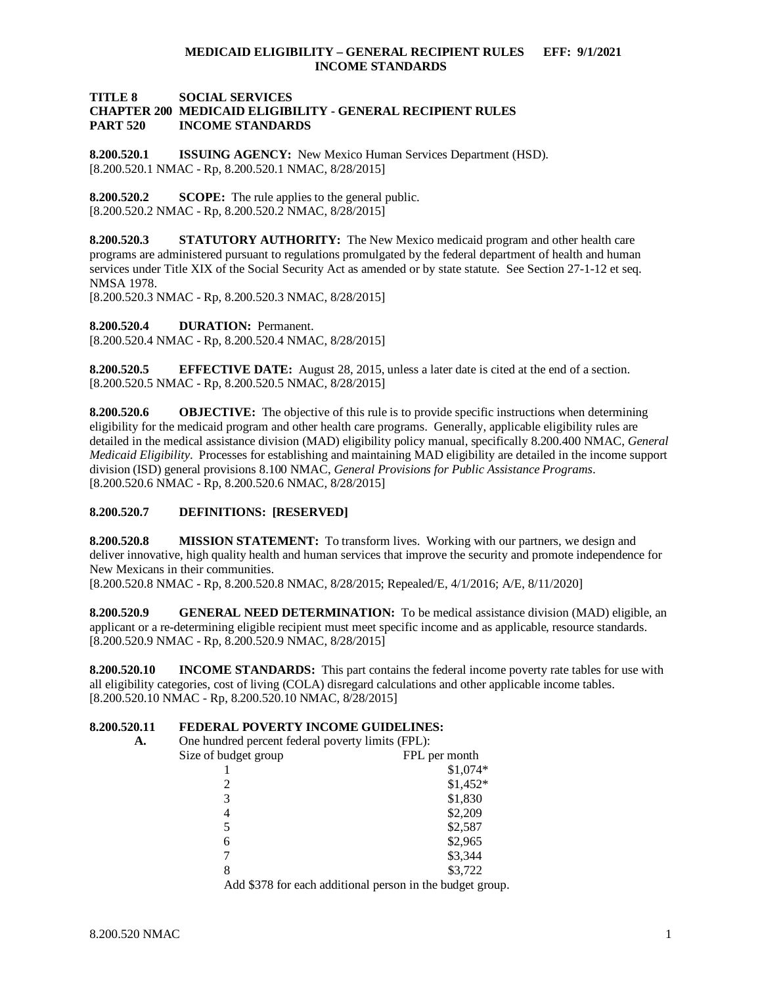## **TITLE 8 SOCIAL SERVICES CHAPTER 200 MEDICAID ELIGIBILITY - GENERAL RECIPIENT RULES INCOME STANDARDS**

<span id="page-1-0"></span>**8.200.520.1 ISSUING AGENCY:** New Mexico Human Services Department (HSD). [8.200.520.1 NMAC - Rp, 8.200.520.1 NMAC, 8/28/2015]

<span id="page-1-1"></span>**8.200.520.2 SCOPE:** The rule applies to the general public.  $[8.200.520.2 \text{ NMAC} - \text{Rp}, 8.200.520.2 \text{ NMAC}, 8/28/2015]$ 

<span id="page-1-2"></span>**8.200.520.3 STATUTORY AUTHORITY:** The New Mexico medicaid program and other health care programs are administered pursuant to regulations promulgated by the federal department of health and human services under Title XIX of the Social Security Act as amended or by state statute. See Section 27-1-12 et seq. NMSA 1978.

[8.200.520.3 NMAC - Rp, 8.200.520.3 NMAC, 8/28/2015]

<span id="page-1-3"></span>**8.200.520.4 DURATION:** Permanent. [8.200.520.4 NMAC - Rp, 8.200.520.4 NMAC, 8/28/2015]

<span id="page-1-4"></span>**8.200.520.5 EFFECTIVE DATE:** August 28, 2015, unless a later date is cited at the end of a section. [8.200.520.5 NMAC - Rp, 8.200.520.5 NMAC, 8/28/2015]

<span id="page-1-5"></span>**8.200.520.6 OBJECTIVE:** The objective of this rule is to provide specific instructions when determining eligibility for the medicaid program and other health care programs. Generally, applicable eligibility rules are detailed in the medical assistance division (MAD) eligibility policy manual, specifically 8.200.400 NMAC, *General Medicaid Eligibility*. Processes for establishing and maintaining MAD eligibility are detailed in the income support division (ISD) general provisions 8.100 NMAC, *General Provisions for Public Assistance Programs*. [8.200.520.6 NMAC - Rp, 8.200.520.6 NMAC, 8/28/2015]

### <span id="page-1-6"></span>**8.200.520.7 DEFINITIONS: [RESERVED]**

<span id="page-1-7"></span>**8.200.520.8 MISSION STATEMENT:** To transform lives. Working with our partners, we design and deliver innovative, high quality health and human services that improve the security and promote independence for New Mexicans in their communities.

[8.200.520.8 NMAC - Rp, 8.200.520.8 NMAC, 8/28/2015; Repealed/E, 4/1/2016; A/E, 8/11/2020]

<span id="page-1-8"></span>**8.200.520.9 GENERAL NEED DETERMINATION:** To be medical assistance division (MAD) eligible, an applicant or a re-determining eligible recipient must meet specific income and as applicable, resource standards. [8.200.520.9 NMAC - Rp, 8.200.520.9 NMAC, 8/28/2015]

<span id="page-1-9"></span>**8.200.520.10 INCOME STANDARDS:** This part contains the federal income poverty rate tables for use with all eligibility categories, cost of living (COLA) disregard calculations and other applicable income tables. [8.200.520.10 NMAC - Rp, 8.200.520.10 NMAC, 8/28/2015]

# <span id="page-1-10"></span>**8.200.520.11 <b>FEDERAL POVERTY INCOME GUIDELINES:**<br>A. One hundred percent federal poverty limits (FPI.):

One hundred percent federal poverty limits (FPL):

| Size of budget group | FPL per month |
|----------------------|---------------|
|                      | \$1,074*      |
| 2                    | $$1,452*$     |
| 3                    | \$1,830       |
| 4                    | \$2,209       |
| 5                    | \$2,587       |
| 6                    | \$2,965       |
|                      | \$3,344       |
| 8                    | \$3,722       |
|                      |               |

Add \$378 for each additional person in the budget group.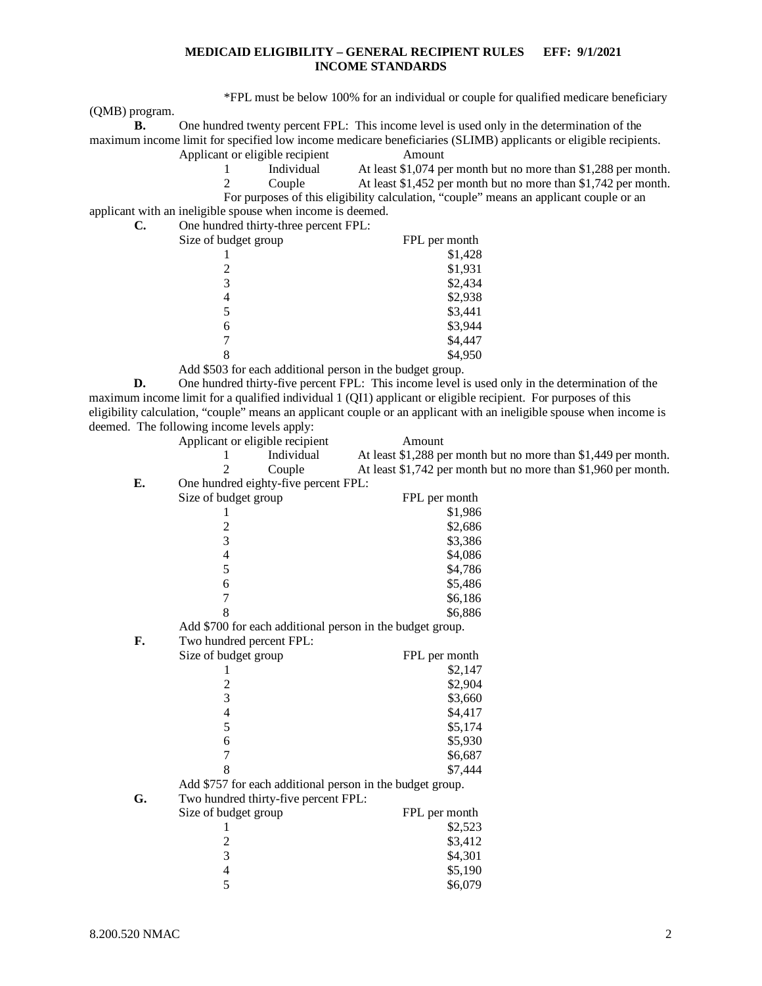\*FPL must be below 100% for an individual or couple for qualified medicare beneficiary

(QMB) program.

**B.** One hundred twenty percent FPL: This income level is used only in the determination of the maximum income limit for specified low income medicare beneficiaries (SLIMB) applicants or eligible recipients. Applicant or eligible recipient Amount

| Individual | At least \$1,074 per month but no more than \$1,288 per month.                         |
|------------|----------------------------------------------------------------------------------------|
| Couple     | At least \$1,452 per month but no more than \$1,742 per month.                         |
|            | For purposes of this eligibility calculation, "couple" means an applicant couple or an |

applicant with an ineligible spouse when income is deemed.

| C. | One hundred thirty-three percent FPL: |               |
|----|---------------------------------------|---------------|
|    | Size of budget group                  | FPL per month |
|    |                                       | \$1,428       |
|    |                                       | \$1,931       |
|    |                                       | \$2,434       |
|    |                                       | \$2,938       |
|    |                                       | \$3,441       |
|    | 6                                     | \$3,944       |
|    |                                       | \$4,447       |
|    |                                       | \$4,950       |
|    |                                       |               |

Add \$503 for each additional person in the budget group.

**D.** One hundred thirty-five percent FPL: This income level is used only in the determination of the maximum income limit for a qualified individual 1 (QI1) applicant or eligible recipient. For purposes of this eligibility calculation, "couple" means an applicant couple or an applicant with an ineligible spouse when income is deemed. The following income levels apply:<br>Applicant or eligible recipie

| Applicant or eligible recipient |            | Amount                                                         |
|---------------------------------|------------|----------------------------------------------------------------|
|                                 | Individual | At least \$1,288 per month but no more than \$1,449 per month. |
|                                 | Couple     | At least \$1,742 per month but no more than \$1,960 per month. |
| $\sim$ $\sim$                   |            |                                                                |

**E.** One hundred eighty-five percent FPL:

|    | Size of budget group                                      | FPL per month |
|----|-----------------------------------------------------------|---------------|
|    |                                                           | \$1,986       |
|    |                                                           | \$2,686       |
|    | $\frac{2}{3}$                                             | \$3,386       |
|    | $\overline{4}$                                            | \$4,086       |
|    | 5                                                         | \$4,786       |
|    | 6                                                         | \$5,486       |
|    | 7                                                         | \$6,186       |
|    | 8                                                         | \$6,886       |
|    | Add \$700 for each additional person in the budget group. |               |
| F. | Two hundred percent FPL:                                  |               |
|    | Size of budget group                                      | FPL per month |
|    | 1                                                         | \$2,147       |
|    | 2                                                         | \$2,904       |
|    | 3                                                         | \$3,660       |
|    | $\overline{4}$                                            | \$4,417       |
|    | 5                                                         | \$5,174       |
|    | 6                                                         | \$5,930       |
|    | 7                                                         | \$6,687       |
|    | 8                                                         | \$7,444       |
|    | Add \$757 for each additional person in the budget group. |               |
| G. | Two hundred thirty-five percent FPL:                      |               |
|    | Size of budget group                                      | FPL per month |
|    |                                                           | \$2,523       |
|    | $\overline{c}$                                            | \$3,412       |
|    | $\overline{\mathbf{3}}$                                   | \$4,301       |
|    | $\overline{4}$                                            | \$5,190       |
|    | 5                                                         | \$6,079       |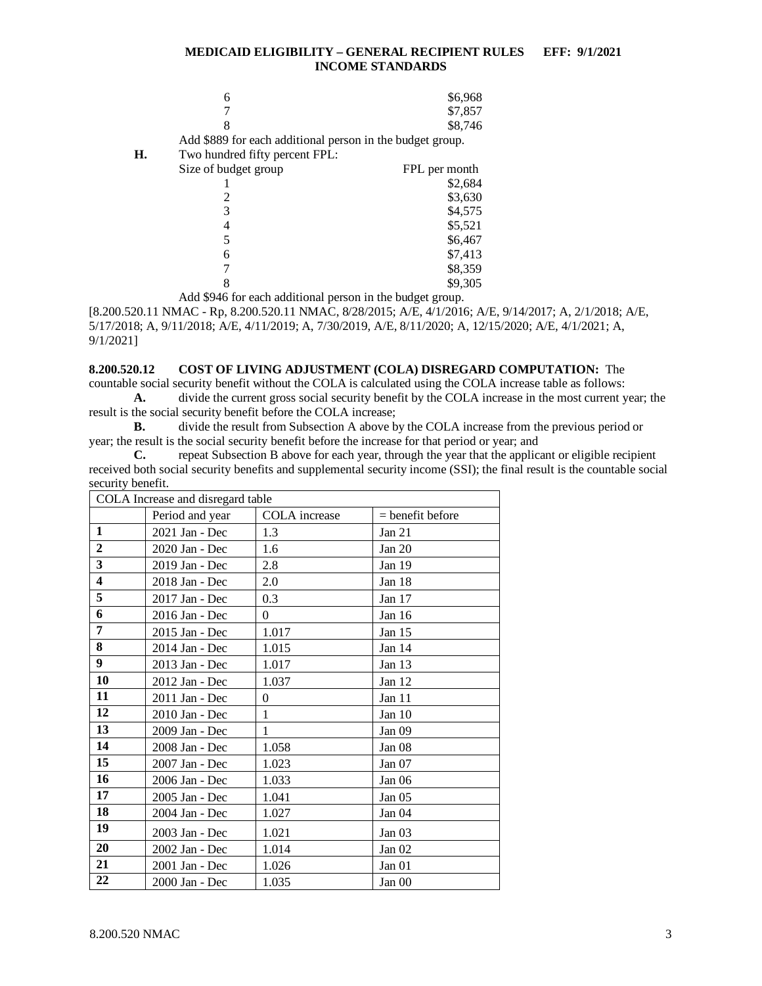|    | 6                                                         | \$6,968       |
|----|-----------------------------------------------------------|---------------|
|    |                                                           | \$7,857       |
|    |                                                           | \$8,746       |
|    | Add \$889 for each additional person in the budget group. |               |
| Н. | Two hundred fifty percent FPL:                            |               |
|    | Size of budget group                                      | FPL per month |
|    |                                                           | \$2,684       |
|    | 2                                                         | \$3,630       |
|    | 3                                                         | \$4,575       |
|    | 4                                                         | \$5,521       |
|    |                                                           | \$6,467       |
|    | 6                                                         | \$7,413       |
|    |                                                           | \$8,359       |
|    |                                                           | \$9,305       |

Add \$946 for each additional person in the budget group.

[8.200.520.11 NMAC - Rp, 8.200.520.11 NMAC, 8/28/2015; A/E, 4/1/2016; A/E, 9/14/2017; A, 2/1/2018; A/E, 5/17/2018; A, 9/11/2018; A/E, 4/11/2019; A, 7/30/2019, A/E, 8/11/2020; A, 12/15/2020; A/E, 4/1/2021; A, 9/1/2021]

## <span id="page-3-0"></span>**8.200.520.12 COST OF LIVING ADJUSTMENT (COLA) DISREGARD COMPUTATION:** The

countable social security benefit without the COLA is calculated using the COLA increase table as follows: **A.** divide the current gross social security benefit by the COLA increase in the most current year; the result is the social security benefit before the COLA increase;

**B.** divide the result from Subsection A above by the COLA increase from the previous period or year; the result is the social security benefit before the increase for that period or year; and

**C.** repeat Subsection B above for each year, through the year that the applicant or eligible recipient received both social security benefits and supplemental security income (SSI); the final result is the countable social security benefit.

| COLA Increase and disregard table |                 |               |                    |  |  |
|-----------------------------------|-----------------|---------------|--------------------|--|--|
|                                   | Period and year | COLA increase | $=$ benefit before |  |  |
| 1                                 | 2021 Jan - Dec  | 1.3           | Jan $21$           |  |  |
| $\overline{2}$                    | 2020 Jan - Dec  | 1.6           | Jan $20$           |  |  |
| 3                                 | 2019 Jan - Dec  | 2.8           | Jan 19             |  |  |
| 4                                 | 2018 Jan - Dec  | 2.0           | Jan 18             |  |  |
| 5                                 | 2017 Jan - Dec  | 0.3           | Jan $17$           |  |  |
| 6                                 | 2016 Jan - Dec  | $\theta$      | Jan $16$           |  |  |
| 7                                 | 2015 Jan - Dec  | 1.017         | Jan 15             |  |  |
| 8                                 | 2014 Jan - Dec  | 1.015         | Jan 14             |  |  |
| 9                                 | 2013 Jan - Dec  | 1.017         | Jan 13             |  |  |
| 10                                | 2012 Jan - Dec  | 1.037         | Jan $12$           |  |  |
| 11                                | 2011 Jan - Dec  | $\theta$      | Jan 11             |  |  |
| 12                                | 2010 Jan - Dec  | $\mathbf{1}$  | Jan $10$           |  |  |
| 13                                | 2009 Jan - Dec  | 1             | Jan 09             |  |  |
| 14                                | 2008 Jan - Dec  | 1.058         | Jan <sub>08</sub>  |  |  |
| 15                                | 2007 Jan - Dec  | 1.023         | Jan 07             |  |  |
| 16                                | 2006 Jan - Dec  | 1.033         | Jan <sub>06</sub>  |  |  |
| 17                                | 2005 Jan - Dec  | 1.041         | Jan 05             |  |  |
| 18                                | 2004 Jan - Dec  | 1.027         | Jan <sub>04</sub>  |  |  |
| 19                                | 2003 Jan - Dec  | 1.021         | Jan <sub>03</sub>  |  |  |
| 20                                | 2002 Jan - Dec  | 1.014         | Jan $02$           |  |  |
| 21                                | 2001 Jan - Dec  | 1.026         | Jan 01             |  |  |
| 22                                | 2000 Jan - Dec  | 1.035         | Jan 00             |  |  |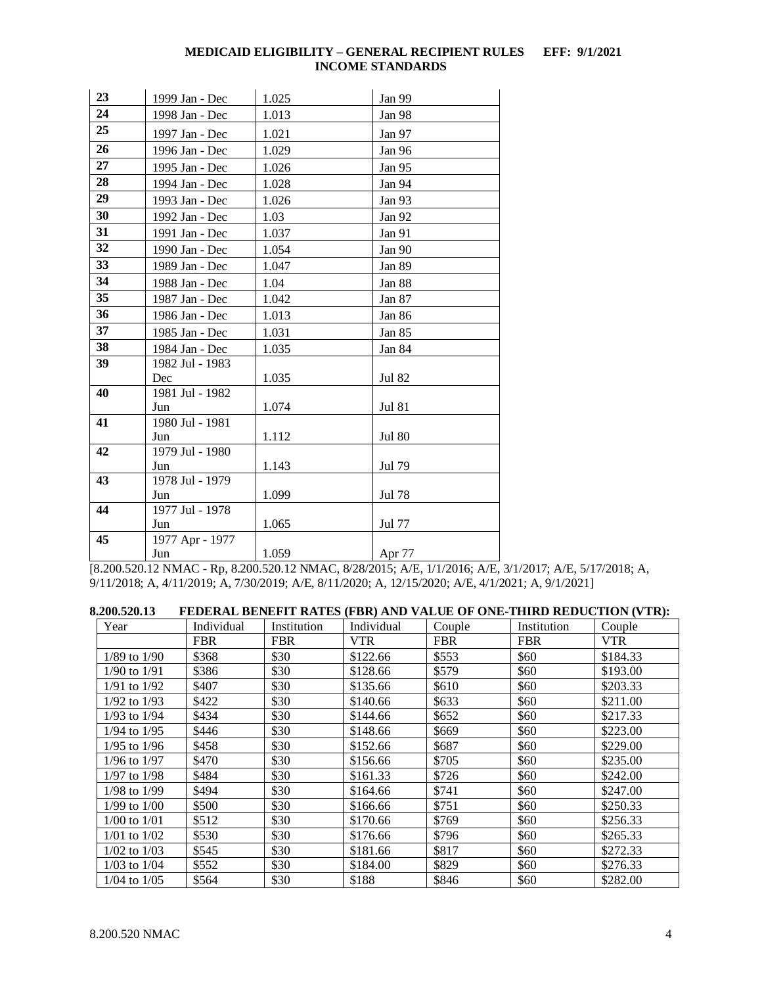| 23 | 1999 Jan - Dec         | 1.025 | Jan 99        |
|----|------------------------|-------|---------------|
| 24 | 1998 Jan - Dec         | 1.013 | Jan 98        |
| 25 | 1997 Jan - Dec         | 1.021 | Jan 97        |
| 26 | 1996 Jan - Dec         | 1.029 | Jan 96        |
| 27 | 1995 Jan - Dec         | 1.026 | Jan 95        |
| 28 | 1994 Jan - Dec         | 1.028 | Jan 94        |
| 29 | 1993 Jan - Dec         | 1.026 | Jan 93        |
| 30 | 1992 Jan - Dec         | 1.03  | Jan 92        |
| 31 | 1991 Jan - Dec         | 1.037 | Jan 91        |
| 32 | 1990 Jan - Dec         | 1.054 | Jan 90        |
| 33 | 1989 Jan - Dec         | 1.047 | Jan 89        |
| 34 | 1988 Jan - Dec         | 1.04  | Jan 88        |
| 35 | 1987 Jan - Dec         | 1.042 | Jan 87        |
| 36 | 1986 Jan - Dec         | 1.013 | Jan 86        |
| 37 | 1985 Jan - Dec         | 1.031 | Jan 85        |
| 38 | 1984 Jan - Dec         | 1.035 | Jan 84        |
| 39 | 1982 Jul - 1983        |       |               |
|    | Dec                    | 1.035 | Jul 82        |
| 40 | 1981 Jul - 1982        |       |               |
|    | Jun                    | 1.074 | <b>Jul 81</b> |
| 41 | 1980 Jul - 1981        |       |               |
| 42 | Jun<br>1979 Jul - 1980 | 1.112 | <b>Jul 80</b> |
|    | Jun                    | 1.143 | Jul 79        |
| 43 | 1978 Jul - 1979        |       |               |
|    | Jun                    | 1.099 | Jul 78        |
| 44 | 1977 Jul - 1978        |       |               |
|    | Jun                    | 1.065 | Jul 77        |
| 45 | 1977 Apr - 1977        |       |               |
|    | Jun                    | 1.059 | Apr 77        |

[8.200.520.12 NMAC - Rp, 8.200.520.12 NMAC, 8/28/2015; A/E, 1/1/2016; A/E, 3/1/2017; A/E, 5/17/2018; A, 9/11/2018; A, 4/11/2019; A, 7/30/2019; A/E, 8/11/2020; A, 12/15/2020; A/E, 4/1/2021; A, 9/1/2021]

<span id="page-4-0"></span>

| 8.200.520.13 | FEDERAL BENEFIT RATES (FBR) AND VALUE OF ONE-THIRD REDUCTION (VTR): |             |            |         |             |         |
|--------------|---------------------------------------------------------------------|-------------|------------|---------|-------------|---------|
| Year         | Individual                                                          | Institution | Individual | Couple: | Institution | . ouple |

| r ear            | maividual  | msutution  | maividual  | Couple     | msutution  | Couple     |
|------------------|------------|------------|------------|------------|------------|------------|
|                  | <b>FBR</b> | <b>FBR</b> | <b>VTR</b> | <b>FBR</b> | <b>FBR</b> | <b>VTR</b> |
| 1/89 to 1/90     | \$368      | \$30       | \$122.66   | \$553      | \$60       | \$184.33   |
| 1/90 to 1/91     | \$386      | \$30       | \$128.66   | \$579      | \$60       | \$193.00   |
| $1/91$ to $1/92$ | \$407      | \$30       | \$135.66   | \$610      | \$60       | \$203.33   |
| $1/92$ to $1/93$ | \$422      | \$30       | \$140.66   | \$633      | \$60       | \$211.00   |
| 1/93 to 1/94     | \$434      | \$30       | \$144.66   | \$652      | \$60       | \$217.33   |
| 1/94 to 1/95     | \$446      | \$30       | \$148.66   | \$669      | \$60       | \$223.00   |
| $1/95$ to $1/96$ | \$458      | \$30       | \$152.66   | \$687      | \$60       | \$229.00   |
| 1/96 to 1/97     | \$470      | \$30       | \$156.66   | \$705      | \$60       | \$235.00   |
| 1/97 to 1/98     | \$484      | \$30       | \$161.33   | \$726      | \$60       | \$242.00   |
| 1/98 to 1/99     | \$494      | \$30       | \$164.66   | \$741      | \$60       | \$247.00   |
| $1/99$ to $1/00$ | \$500      | \$30       | \$166.66   | \$751      | \$60       | \$250.33   |
| $1/00$ to $1/01$ | \$512      | \$30       | \$170.66   | \$769      | \$60       | \$256.33   |
| $1/01$ to $1/02$ | \$530      | \$30       | \$176.66   | \$796      | \$60       | \$265.33   |
| 1/02 to 1/03     | \$545      | \$30       | \$181.66   | \$817      | \$60       | \$272.33   |
| $1/03$ to $1/04$ | \$552      | \$30       | \$184.00   | \$829      | \$60       | \$276.33   |
| $1/04$ to $1/05$ | \$564      | \$30       | \$188      | \$846      | \$60       | \$282.00   |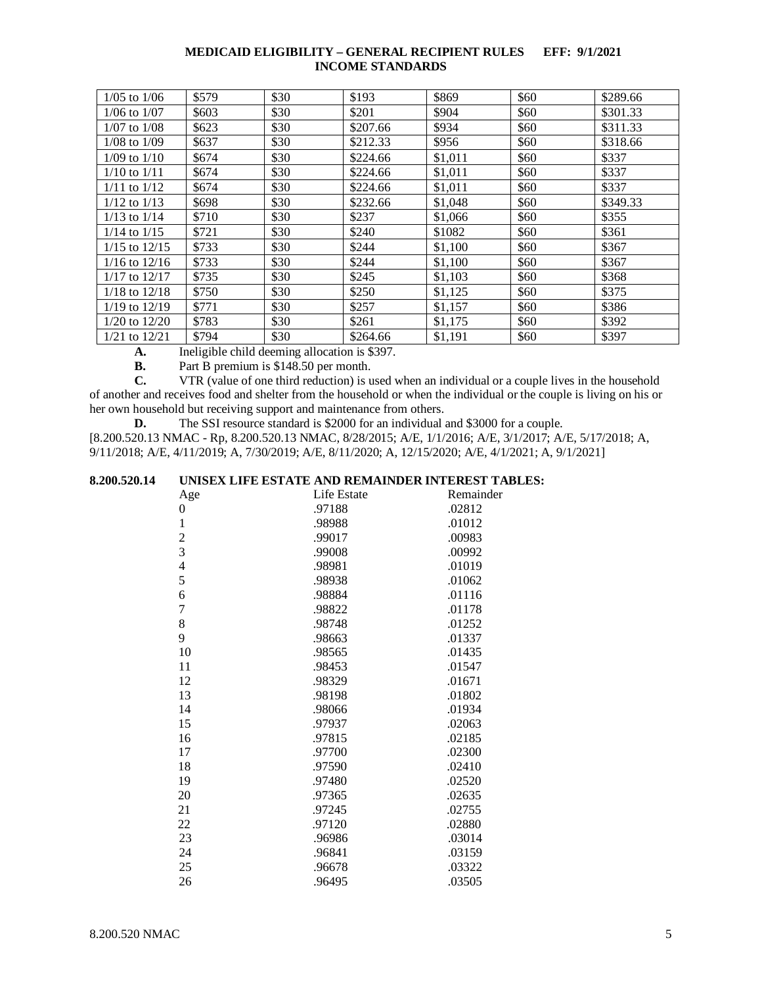| $1/05$ to $1/06$  | \$579 | \$30 | \$193    | \$869   | \$60 | \$289.66 |
|-------------------|-------|------|----------|---------|------|----------|
| $1/06$ to $1/07$  | \$603 | \$30 | \$201    | \$904   | \$60 | \$301.33 |
| $1/07$ to $1/08$  | \$623 | \$30 | \$207.66 | \$934   | \$60 | \$311.33 |
| $1/08$ to $1/09$  | \$637 | \$30 | \$212.33 | \$956   | \$60 | \$318.66 |
| $1/09$ to $1/10$  | \$674 | \$30 | \$224.66 | \$1,011 | \$60 | \$337    |
| $1/10$ to $1/11$  | \$674 | \$30 | \$224.66 | \$1,011 | \$60 | \$337    |
| $1/11$ to $1/12$  | \$674 | \$30 | \$224.66 | \$1,011 | \$60 | \$337    |
| $1/12$ to $1/13$  | \$698 | \$30 | \$232.66 | \$1,048 | \$60 | \$349.33 |
| $1/13$ to $1/14$  | \$710 | \$30 | \$237    | \$1,066 | \$60 | \$355    |
| $1/14$ to $1/15$  | \$721 | \$30 | \$240    | \$1082  | \$60 | \$361    |
| $1/15$ to $12/15$ | \$733 | \$30 | \$244    | \$1,100 | \$60 | \$367    |
| $1/16$ to $12/16$ | \$733 | \$30 | \$244    | \$1,100 | \$60 | \$367    |
| $1/17$ to $12/17$ | \$735 | \$30 | \$245    | \$1,103 | \$60 | \$368    |
| $1/18$ to $12/18$ | \$750 | \$30 | \$250    | \$1,125 | \$60 | \$375    |
| $1/19$ to $12/19$ | \$771 | \$30 | \$257    | \$1,157 | \$60 | \$386    |
| $1/20$ to $12/20$ | \$783 | \$30 | \$261    | \$1,175 | \$60 | \$392    |
| $1/21$ to $12/21$ | \$794 | \$30 | \$264.66 | \$1.191 | \$60 | \$397    |

**A.** Ineligible child deeming allocation is \$397.<br>**B.** Part B premium is \$148.50 per month.

**B.** Part B premium is \$148.50 per month.<br>**C.** VTR (value of one third reduction) is u

**C.** VTR (value of one third reduction) is used when an individual or a couple lives in the household of another and receives food and shelter from the household or when the individual or the couple is living on his or her own household but receiving support and maintenance from others.

**D.** The SSI resource standard is \$2000 for an individual and \$3000 for a couple. [8.200.520.13 NMAC - Rp, 8.200.520.13 NMAC, 8/28/2015; A/E, 1/1/2016; A/E, 3/1/2017; A/E, 5/17/2018; A, 9/11/2018; A/E, 4/11/2019; A, 7/30/2019; A/E, 8/11/2020; A, 12/15/2020; A/E, 4/1/2021; A, 9/1/2021]

## <span id="page-5-0"></span>**8.200.520.14 UNISEX LIFE ESTATE AND REMAINDER INTEREST TABLES:**

| Age                      | Life Estate | Remainder |
|--------------------------|-------------|-----------|
| 0                        | .97188      | .02812    |
| $\mathbf{1}$             | .98988      | .01012    |
| $\overline{c}$           | .99017      | .00983    |
| 3                        | .99008      | .00992    |
| $\overline{\mathcal{L}}$ | .98981      | .01019    |
| 5                        | .98938      | .01062    |
| 6                        | .98884      | .01116    |
| $\overline{7}$           | .98822      | .01178    |
| 8                        | .98748      | .01252    |
| 9                        | .98663      | .01337    |
| 10                       | .98565      | .01435    |
| 11                       | .98453      | .01547    |
| 12                       | .98329      | .01671    |
| 13                       | .98198      | .01802    |
| 14                       | .98066      | .01934    |
| 15                       | .97937      | .02063    |
| 16                       | .97815      | .02185    |
| 17                       | .97700      | .02300    |
| 18                       | .97590      | .02410    |
| 19                       | .97480      | .02520    |
| 20                       | .97365      | .02635    |
| 21                       | .97245      | .02755    |
| 22                       | .97120      | .02880    |
| 23                       | .96986      | .03014    |
| 24                       | .96841      | .03159    |
| 25                       | .96678      | .03322    |
| 26                       | .96495      | .03505    |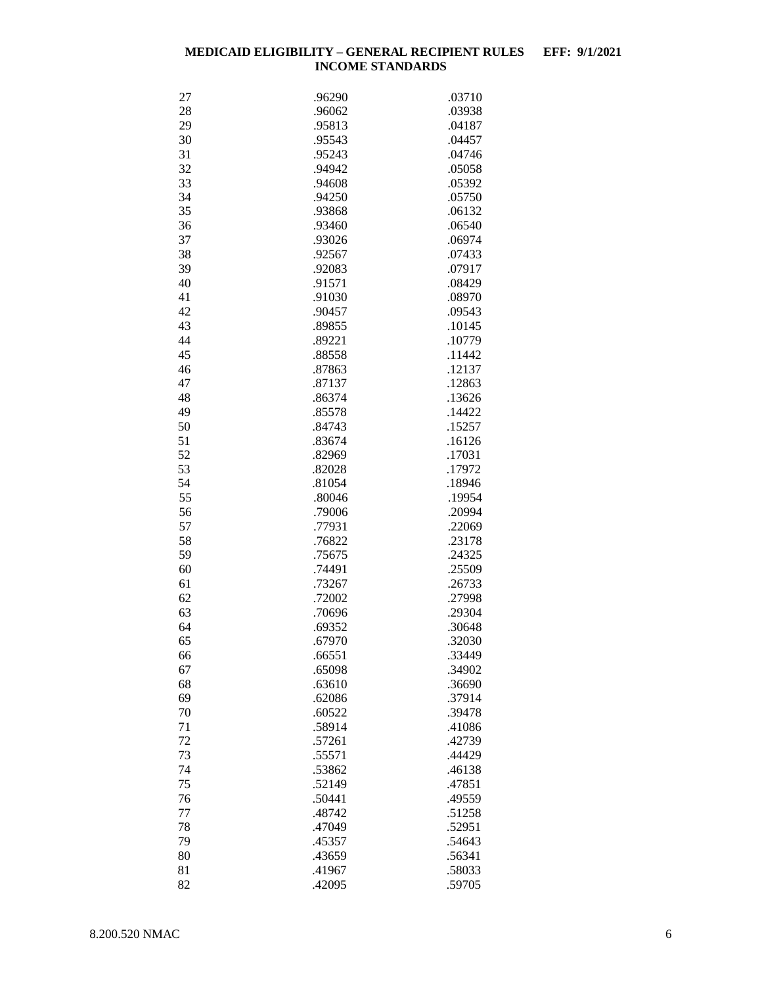| 27 | .96290 | .03710 |
|----|--------|--------|
| 28 | .96062 | .03938 |
| 29 | .95813 | .04187 |
| 30 | .95543 | .04457 |
| 31 | .95243 | .04746 |
| 32 | .94942 | .05058 |
|    |        |        |
| 33 | .94608 | .05392 |
| 34 | .94250 | .05750 |
| 35 | .93868 | .06132 |
| 36 | .93460 | .06540 |
| 37 | .93026 | .06974 |
| 38 | .92567 | .07433 |
| 39 | .92083 | .07917 |
| 40 | .91571 | .08429 |
| 41 | .91030 | .08970 |
|    |        |        |
| 42 | .90457 | .09543 |
| 43 | .89855 | .10145 |
| 44 | .89221 | .10779 |
| 45 | .88558 | .11442 |
| 46 | .87863 | .12137 |
| 47 | .87137 | .12863 |
| 48 | .86374 | .13626 |
| 49 | .85578 | .14422 |
| 50 | .84743 | .15257 |
| 51 | .83674 | .16126 |
| 52 | .82969 | .17031 |
|    |        |        |
| 53 | .82028 | .17972 |
| 54 | .81054 | .18946 |
| 55 | .80046 | .19954 |
| 56 | .79006 | .20994 |
| 57 | .77931 | .22069 |
| 58 | .76822 | .23178 |
| 59 | .75675 | .24325 |
| 60 | .74491 | .25509 |
| 61 | .73267 | .26733 |
| 62 | .72002 | .27998 |
|    |        |        |
| 63 | .70696 | .29304 |
| 64 | .69352 | .30648 |
| 65 | .67970 | .32030 |
| 66 | .66551 | .33449 |
| 67 | .65098 | .34902 |
| 68 | .63610 | .36690 |
| 69 | .62086 | .37914 |
| 70 | .60522 | .39478 |
| 71 | .58914 | .41086 |
| 72 | .57261 | .42739 |
| 73 | .55571 | .44429 |
| 74 | .53862 | .46138 |
|    |        |        |
| 75 | .52149 | .47851 |
| 76 | .50441 | .49559 |
| 77 | .48742 | .51258 |
| 78 | .47049 | .52951 |
| 79 | .45357 | .54643 |
| 80 | .43659 | .56341 |
| 81 | .41967 | .58033 |
| 82 | .42095 | .59705 |
|    |        |        |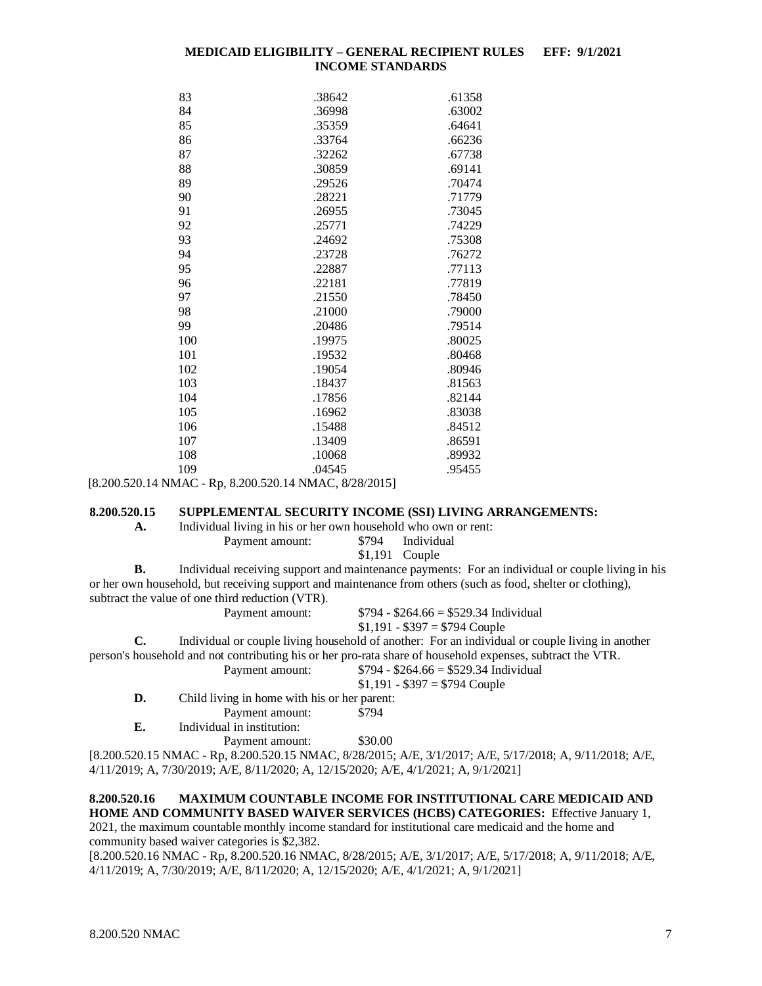| 83  | .38642 | .61358 |
|-----|--------|--------|
| 84  | .36998 | .63002 |
| 85  | .35359 | .64641 |
| 86  | .33764 | .66236 |
| 87  | .32262 | .67738 |
| 88  | .30859 | .69141 |
| 89  | .29526 | .70474 |
| 90  | .28221 | .71779 |
| 91  | .26955 | .73045 |
| 92  | .25771 | .74229 |
| 93  | .24692 | .75308 |
| 94  | .23728 | .76272 |
| 95  | .22887 | .77113 |
| 96  | .22181 | .77819 |
| 97  | .21550 | .78450 |
| 98  | .21000 | .79000 |
| 99  | .20486 | .79514 |
| 100 | .19975 | .80025 |
| 101 | .19532 | .80468 |
| 102 | .19054 | .80946 |
| 103 | .18437 | .81563 |
| 104 | .17856 | .82144 |
| 105 | .16962 | .83038 |
| 106 | .15488 | .84512 |
| 107 | .13409 | .86591 |
| 108 | .10068 | .89932 |
| 109 | .04545 | .95455 |

[8.200.520.14 NMAC - Rp, 8.200.520.14 NMAC, 8/28/2015]

#### <span id="page-7-0"></span>**8.200.520.15 SUPPLEMENTAL SECURITY INCOME (SSI) LIVING ARRANGEMENTS:**

**A.** Individual living in his or her own household who own or rent:

Payment amount: \$794 Individual

\$1,191 Couple

**B.** Individual receiving support and maintenance payments: For an individual or couple living in his or her own household, but receiving support and maintenance from others (such as food, shelter or clothing), subtract the value of one third reduction (VTR).<br>Payment amount:

 $$794 - $264.66 = $529.34$  Individual  $$1,191 - $397 = $794$  Couple

**C.** Individual or couple living household of another: For an individual or couple living in another person's household and not contributing his or her pro-rata share of household expenses, subtract the VTR. Payment amount: \$794 - \$264.66 = \$529.34 Individual

 $$1,191 - $397 = $794$  Couple

**D.** Child living in home with his or her parent:

Payment amount: \$794

**E.** Individual in institution:

Payment amount: \$30.00

[8.200.520.15 NMAC - Rp, 8.200.520.15 NMAC, 8/28/2015; A/E, 3/1/2017; A/E, 5/17/2018; A, 9/11/2018; A/E, 4/11/2019; A, 7/30/2019; A/E, 8/11/2020; A, 12/15/2020; A/E, 4/1/2021; A, 9/1/2021]

## <span id="page-7-1"></span>**8.200.520.16 MAXIMUM COUNTABLE INCOME FOR INSTITUTIONAL CARE MEDICAID AND HOME AND COMMUNITY BASED WAIVER SERVICES (HCBS) CATEGORIES:** Effective January 1,

2021, the maximum countable monthly income standard for institutional care medicaid and the home and community based waiver categories is \$2,382.

[8.200.520.16 NMAC - Rp, 8.200.520.16 NMAC, 8/28/2015; A/E, 3/1/2017; A/E, 5/17/2018; A, 9/11/2018; A/E, 4/11/2019; A, 7/30/2019; A/E, 8/11/2020; A, 12/15/2020; A/E, 4/1/2021; A, 9/1/2021]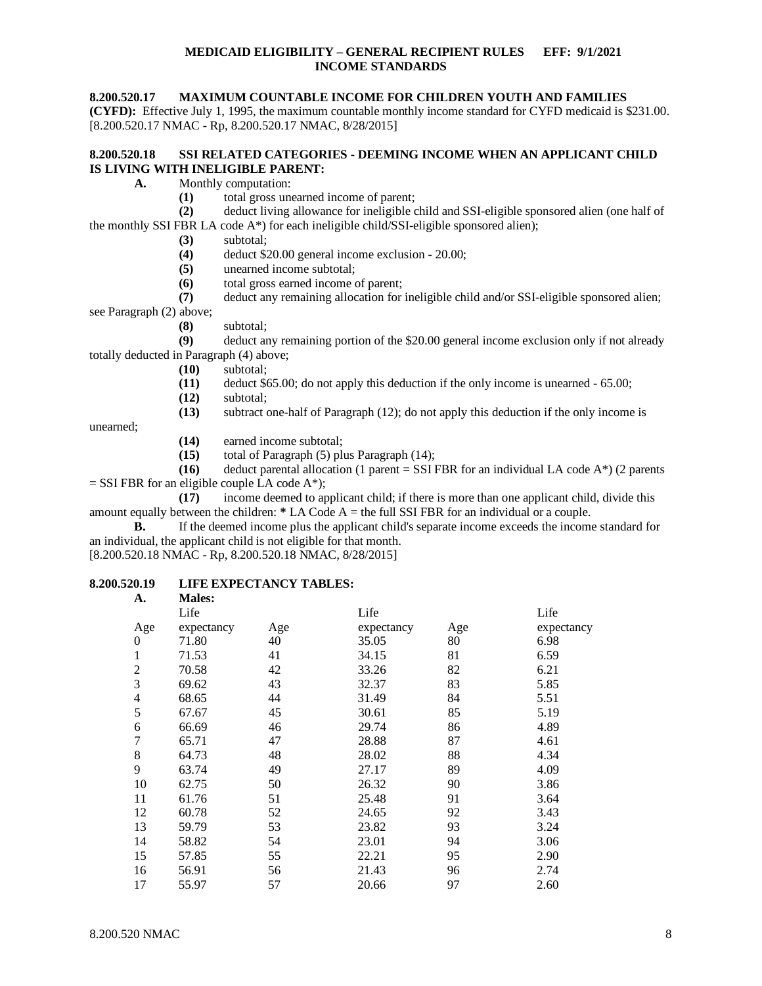#### <span id="page-8-0"></span>**8.200.520.17 MAXIMUM COUNTABLE INCOME FOR CHILDREN YOUTH AND FAMILIES**

**(CYFD):** Effective July 1, 1995, the maximum countable monthly income standard for CYFD medicaid is \$231.00. [8.200.520.17 NMAC - Rp, 8.200.520.17 NMAC, 8/28/2015]

### <span id="page-8-1"></span>**8.200.520.18 SSI RELATED CATEGORIES - DEEMING INCOME WHEN AN APPLICANT CHILD IS LIVING WITH INELIGIBLE PARENT:**

- **A.** Monthly computation:
	- (1) total gross unearned income of parent;<br>(2) deduct living allowance for ineligible of

**(2)** deduct living allowance for ineligible child and SSI-eligible sponsored alien (one half of the monthly SSI FBR LA code A\*) for each ineligible child/SSI-eligible sponsored alien);

- **(3)** subtotal;
- **(4)** deduct \$20.00 general income exclusion 20.00;
- **(5)** unearned income subtotal;
- **(6)** total gross earned income of parent;

**(7)** deduct any remaining allocation for ineligible child and/or SSI-eligible sponsored alien; see Paragraph (2) above;

**(8)** subtotal;

**(9)** deduct any remaining portion of the \$20.00 general income exclusion only if not already totally deducted in Paragraph (4) above;

- **(10)** subtotal;
- **(11)** deduct \$65.00; do not apply this deduction if the only income is unearned 65.00;
- **(12)** subtotal;

**(13)** subtract one-half of Paragraph (12); do not apply this deduction if the only income is

unearned;

- **(14)** earned income subtotal;
- **(15)** total of Paragraph (5) plus Paragraph (14);

**(16)** deduct parental allocation (1 parent = SSI FBR for an individual LA code  $A^*$ ) (2 parents  $=$  SSI FBR for an eligible couple LA code A\*);

**(17)** income deemed to applicant child; if there is more than one applicant child, divide this amount equally between the children: **\*** LA Code A = the full SSI FBR for an individual or a couple.

**B.** If the deemed income plus the applicant child's separate income exceeds the income standard for an individual, the applicant child is not eligible for that month.

[8.200.520.18 NMAC - Rp, 8.200.520.18 NMAC, 8/28/2015]

#### <span id="page-8-2"></span>**8.200.520.19 LIFE EXPECTANCY TABLES: A. Males:**

| .              | --------   |     |            |     |            |
|----------------|------------|-----|------------|-----|------------|
|                | Life       |     | Life       |     | Life       |
| Age            | expectancy | Age | expectancy | Age | expectancy |
| $\theta$       | 71.80      | 40  | 35.05      | 80  | 6.98       |
| 1              | 71.53      | 41  | 34.15      | 81  | 6.59       |
| $\overline{2}$ | 70.58      | 42  | 33.26      | 82  | 6.21       |
| 3              | 69.62      | 43  | 32.37      | 83  | 5.85       |
| 4              | 68.65      | 44  | 31.49      | 84  | 5.51       |
| 5              | 67.67      | 45  | 30.61      | 85  | 5.19       |
| 6              | 66.69      | 46  | 29.74      | 86  | 4.89       |
| 7              | 65.71      | 47  | 28.88      | 87  | 4.61       |
| 8              | 64.73      | 48  | 28.02      | 88  | 4.34       |
| 9              | 63.74      | 49  | 27.17      | 89  | 4.09       |
| 10             | 62.75      | 50  | 26.32      | 90  | 3.86       |
| 11             | 61.76      | 51  | 25.48      | 91  | 3.64       |
| 12             | 60.78      | 52  | 24.65      | 92  | 3.43       |
| 13             | 59.79      | 53  | 23.82      | 93  | 3.24       |
| 14             | 58.82      | 54  | 23.01      | 94  | 3.06       |
| 15             | 57.85      | 55  | 22.21      | 95  | 2.90       |
| 16             | 56.91      | 56  | 21.43      | 96  | 2.74       |
| 17             | 55.97      | 57  | 20.66      | 97  | 2.60       |
|                |            |     |            |     |            |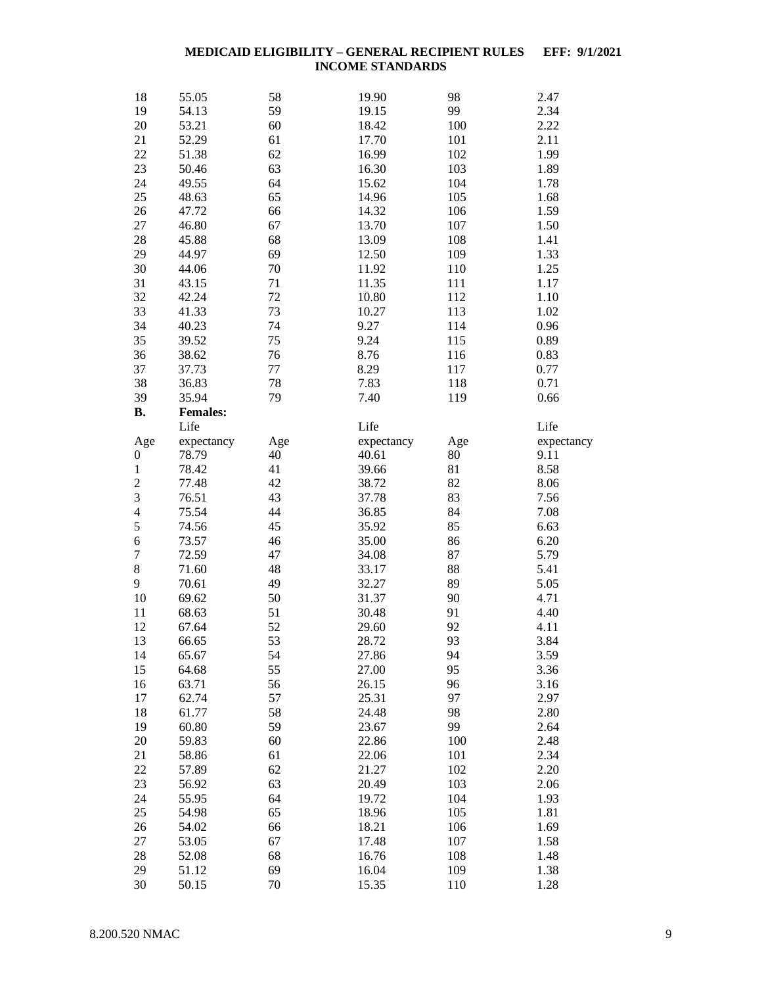| 18               | 55.05           | 58  | 19.90      | 98  | 2.47       |
|------------------|-----------------|-----|------------|-----|------------|
| 19               | 54.13           | 59  | 19.15      | 99  | 2.34       |
| 20               | 53.21           | 60  | 18.42      | 100 | 2.22       |
| 21               | 52.29           | 61  | 17.70      | 101 | 2.11       |
| 22               | 51.38           | 62  | 16.99      | 102 | 1.99       |
| 23               | 50.46           | 63  | 16.30      | 103 | 1.89       |
| 24               | 49.55           | 64  | 15.62      | 104 | 1.78       |
| 25               | 48.63           | 65  | 14.96      | 105 | 1.68       |
| 26               | 47.72           | 66  | 14.32      | 106 | 1.59       |
| 27               | 46.80           | 67  | 13.70      | 107 | 1.50       |
| 28               | 45.88           | 68  | 13.09      | 108 | 1.41       |
| 29               | 44.97           | 69  | 12.50      | 109 | 1.33       |
| 30               | 44.06           | 70  | 11.92      | 110 | 1.25       |
| 31               | 43.15           | 71  | 11.35      | 111 | 1.17       |
| 32               | 42.24           | 72  | 10.80      | 112 | 1.10       |
| 33               | 41.33           | 73  | 10.27      | 113 | 1.02       |
| 34               | 40.23           | 74  | 9.27       | 114 | 0.96       |
| 35               | 39.52           | 75  | 9.24       | 115 | 0.89       |
| 36               | 38.62           | 76  | 8.76       | 116 | 0.83       |
| 37               | 37.73           | 77  | 8.29       | 117 | 0.77       |
| 38               | 36.83           | 78  | 7.83       | 118 | 0.71       |
| 39               | 35.94           | 79  | 7.40       | 119 | 0.66       |
| <b>B.</b>        | <b>Females:</b> |     |            |     |            |
|                  | Life            |     | Life       |     | Life       |
| Age              | expectancy      | Age | expectancy | Age | expectancy |
| $\boldsymbol{0}$ | 78.79           | 40  | 40.61      | 80  | 9.11       |
| $\mathbf{1}$     | 78.42           | 41  | 39.66      | 81  | 8.58       |
| $\overline{c}$   | 77.48           | 42  | 38.72      | 82  | 8.06       |
| 3                | 76.51           | 43  | 37.78      | 83  | 7.56       |
| $\overline{4}$   | 75.54           | 44  | 36.85      | 84  | 7.08       |
| 5                | 74.56           | 45  | 35.92      | 85  | 6.63       |
| 6                | 73.57           | 46  | 35.00      | 86  | 6.20       |
| $\boldsymbol{7}$ | 72.59           | 47  | 34.08      | 87  | 5.79       |
| $\,8\,$          | 71.60           | 48  | 33.17      | 88  | 5.41       |
| 9                | 70.61           | 49  | 32.27      | 89  | 5.05       |
| 10               | 69.62           | 50  | 31.37      | 90  | 4.71       |
| 11               | 68.63           | 51  | 30.48      | 91  | 4.40       |
| 12               | 67.64           | 52  | 29.60      | 92  | 4.11       |
| 13               | 66.65           | 53  | 28.72      | 93  | 3.84       |
| 14               | 65.67           | 54  | 27.86      | 94  | 3.59       |
| 15               | 64.68           | 55  | 27.00      | 95  | 3.36       |
| 16               | 63.71           | 56  | 26.15      | 96  | 3.16       |
| 17               | 62.74           | 57  | 25.31      | 97  | 2.97       |
| 18               | 61.77           | 58  | 24.48      | 98  | 2.80       |
| 19               | 60.80           | 59  | 23.67      | 99  | 2.64       |
| 20               | 59.83           | 60  | 22.86      | 100 | 2.48       |
| 21               | 58.86           | 61  | 22.06      | 101 | 2.34       |
| 22               | 57.89           | 62  | 21.27      | 102 | 2.20       |
| 23               | 56.92           | 63  | 20.49      | 103 | 2.06       |
| 24               | 55.95           | 64  | 19.72      | 104 | 1.93       |
| 25               | 54.98           | 65  | 18.96      | 105 | 1.81       |
| 26               | 54.02           | 66  | 18.21      | 106 | 1.69       |
| 27               | 53.05           | 67  | 17.48      | 107 | 1.58       |
| 28               | 52.08           | 68  | 16.76      | 108 | 1.48       |
| 29               | 51.12           | 69  | 16.04      | 109 | 1.38       |
| 30               | 50.15           | 70  | 15.35      | 110 | 1.28       |
|                  |                 |     |            |     |            |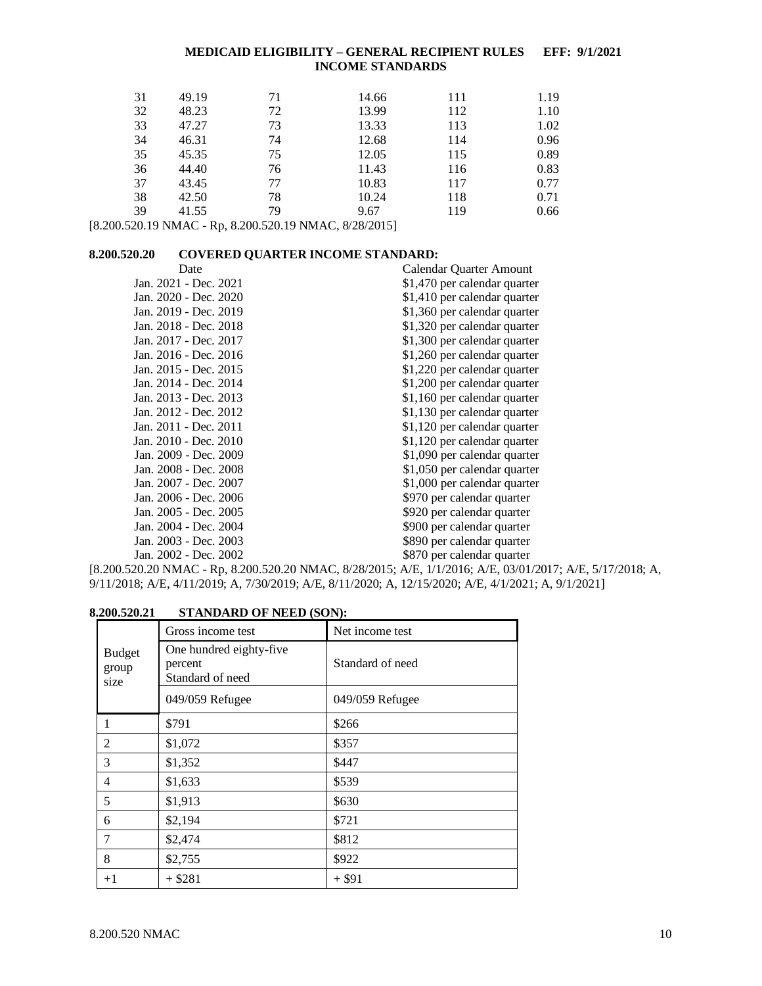| 31 | 49.19 | 71 | 14.66 | 111 | 1.19 |
|----|-------|----|-------|-----|------|
| 32 | 48.23 | 72 | 13.99 | 112 | 1.10 |
| 33 | 47.27 | 73 | 13.33 | 113 | 1.02 |
| 34 | 46.31 | 74 | 12.68 | 114 | 0.96 |
| 35 | 45.35 | 75 | 12.05 | 115 | 0.89 |
| 36 | 44.40 | 76 | 11.43 | 116 | 0.83 |
| 37 | 43.45 | 77 | 10.83 | 117 | 0.77 |
| 38 | 42.50 | 78 | 10.24 | 118 | 0.71 |
| 39 | 41.55 | 79 | 9.67  | 119 | 0.66 |

[8.200.520.19 NMAC - Rp, 8.200.520.19 NMAC, 8/28/2015]

## <span id="page-10-0"></span>**8.200.520.20 COVERED QUARTER INCOME STANDARD:**

| Date                  | Calendar Quarter Amount      |
|-----------------------|------------------------------|
| Jan. 2021 - Dec. 2021 | \$1,470 per calendar quarter |
| Jan. 2020 - Dec. 2020 | \$1,410 per calendar quarter |
| Jan. 2019 - Dec. 2019 | \$1,360 per calendar quarter |
| Jan. 2018 - Dec. 2018 | \$1,320 per calendar quarter |
| Jan. 2017 - Dec. 2017 | \$1,300 per calendar quarter |
| Jan. 2016 - Dec. 2016 | \$1,260 per calendar quarter |
| Jan. 2015 - Dec. 2015 | \$1,220 per calendar quarter |
| Jan. 2014 - Dec. 2014 | \$1,200 per calendar quarter |
| Jan. 2013 - Dec. 2013 | \$1,160 per calendar quarter |
| Jan. 2012 - Dec. 2012 | \$1,130 per calendar quarter |
| Jan. 2011 - Dec. 2011 | \$1,120 per calendar quarter |
| Jan. 2010 - Dec. 2010 | \$1,120 per calendar quarter |
| Jan. 2009 - Dec. 2009 | \$1,090 per calendar quarter |
| Jan. 2008 - Dec. 2008 | \$1,050 per calendar quarter |
| Jan. 2007 - Dec. 2007 | \$1,000 per calendar quarter |
| Jan. 2006 - Dec. 2006 | \$970 per calendar quarter   |
| Jan. 2005 - Dec. 2005 | \$920 per calendar quarter   |
| Jan. 2004 - Dec. 2004 | \$900 per calendar quarter   |
| Jan. 2003 - Dec. 2003 | \$890 per calendar quarter   |
| Jan. 2002 - Dec. 2002 | \$870 per calendar quarter   |

[8.200.520.20 NMAC - Rp, 8.200.520.20 NMAC, 8/28/2015; A/E, 1/1/2016; A/E, 03/01/2017; A/E, 5/17/2018; A, 9/11/2018; A/E, 4/11/2019; A, 7/30/2019; A/E, 8/11/2020; A, 12/15/2020; A/E, 4/1/2021; A, 9/1/2021]

## <span id="page-10-1"></span>**8.200.520.21 STANDARD OF NEED (SON):**

|                                | Gross income test                                      | Net income test  |
|--------------------------------|--------------------------------------------------------|------------------|
| <b>Budget</b><br>group<br>size | One hundred eighty-five<br>percent<br>Standard of need | Standard of need |
|                                | 049/059 Refugee                                        | 049/059 Refugee  |
|                                | \$791                                                  | \$266            |
| 2                              | \$1,072                                                | \$357            |
| 3                              | \$1,352                                                | \$447            |
| 4                              | \$1,633                                                | \$539            |
| 5                              | \$1,913                                                | \$630            |
| 6                              | \$2,194                                                | \$721            |
| 7                              | \$2,474                                                | \$812            |
| 8                              | \$2,755                                                | \$922            |
| $+1$                           | $+$ \$281                                              | $+$ \$91         |